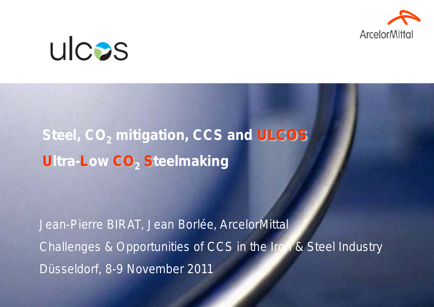

## ulcas

### **Steel, CO<sub>2</sub> mitigation, CCS and ULCOS Ultra-Low CO<sub>2</sub> Steelmaking**

Jean-Pierre BIRAT, Jean Borlée, ArcelorMittal Challenges & Opportunities of CCS in the Iron & Steel Industry Düsseldorf, 8-9 November 2011

Challenges & Opportunities of CCS in the Iron & Steel Industry, IEA-GHG, Düsseldorf, 8-9 November 2011 1999 1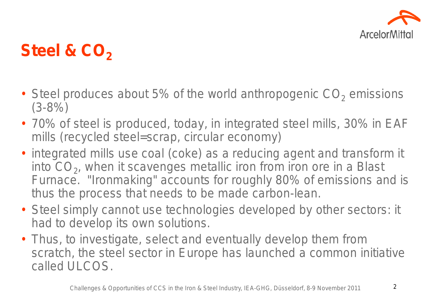

### **Steel & CO<sub>2</sub>**

- Steel produces about 5% of the world anthropogenic  $CO<sub>2</sub>$  emissions (3-8%)
- 70% of steel is produced, today, in integrated steel mills, 30% in EAF mills (recycled steel=scrap, circular economy)
- integrated mills use coal (coke) as a reducing agent and transform it into  $CO<sub>2</sub>$ , when it scavenges metallic iron from iron ore in a Blast Furnace. "Ironmaking" accounts for roughly 80% of emissions and is thus the process that needs to be made carbon-lean.
- Steel simply cannot use technologies developed by other sectors: it had to develop its own solutions.
- Thus, to investigate, select and eventually develop them from scratch, the steel sector in Europe has launched a common initiative called ULCOS.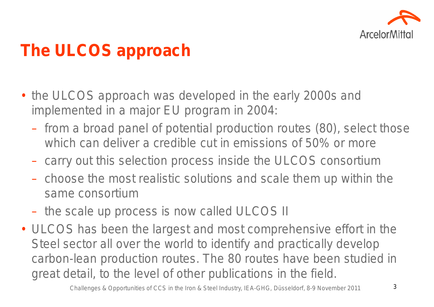

### **The ULCOS approach**

- the ULCOS approach was developed in the early 2000s and implemented in a major EU program in 2004:
	- from a broad panel of potential production routes (80), select those which can deliver a credible cut in emissions of 50% or more
	- carry out this selection process inside the ULCOS consortium
	- choose the most realistic solutions and scale them up within the same consortium
	- the scale up process is now called ULCOS II
- ULCOS has been the largest and most comprehensive effort in the Steel sector all over the world to identify and practically develop carbon-lean production routes. The 80 routes have been studied in great detail, to the level of other publications in the field.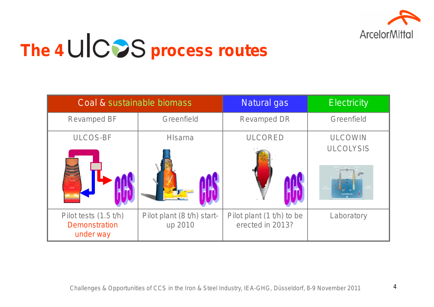

# The 4 UIC<sup>2</sup>S process routes

| Coal & sustainable biomass                                   |                                       | <b>Natural gas</b>                            | <b>Electricity</b>                 |
|--------------------------------------------------------------|---------------------------------------|-----------------------------------------------|------------------------------------|
| <b>Revamped BF</b>                                           | Greenfield                            | <b>Revamped DR</b>                            | Greenfield                         |
| <b>ULCOS-BF</b><br>2.600K                                    | <b>HIsarna</b>                        | <b>ULCORED</b>                                | <b>ULCOWIN</b><br><b>ULCOLYSIS</b> |
| Pilot tests $(1.5 t/h)$<br><b>Demonstration</b><br>under way | Pilot plant (8 t/h) start-<br>up 2010 | Pilot plant (1 t/h) to be<br>erected in 2013? | Laboratory                         |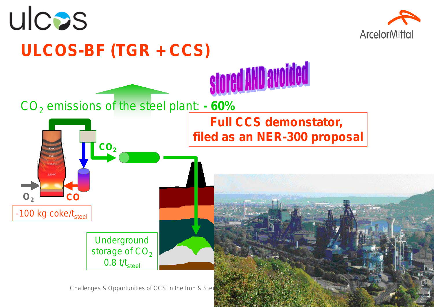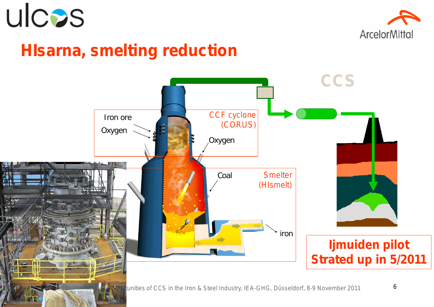



### **HIsarna, smelting reduction**

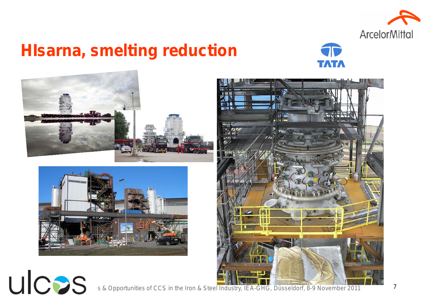

#### **HIsarna, smelting reduction**









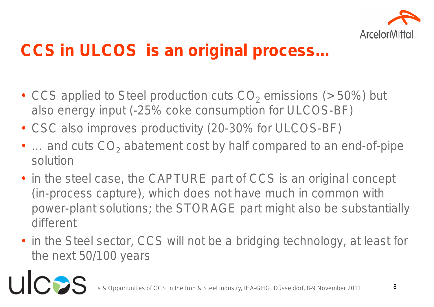

### **CCS in ULCOS is an original process…**

- CCS applied to Steel production cuts  $CO<sub>2</sub>$  emissions ( $>$  50%) but also energy input (-25% coke consumption for ULCOS-BF)
- CSC also improves productivity (20-30% for ULCOS-BF)
- $\bullet$  ... and cuts  $CO<sub>2</sub>$  abatement cost by half compared to an end-of-pipe solution
- in the steel case, the CAPTURE part of CCS is an original concept (in-process capture), which does not have much in common with power-plant solutions; the STORAGE part might also be substantially different
- in the Steel sector, CCS will not be a bridging technology, at least for the next 50/100 years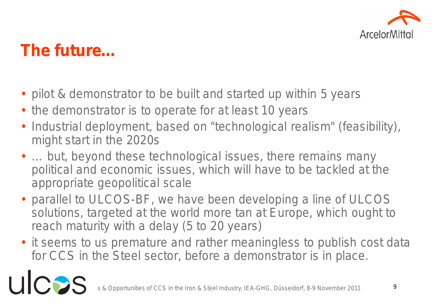

### **The future…**

- pilot & demonstrator to be built and started up within 5 years
- the demonstrator is to operate for at least 10 years
- Industrial deployment, based on "technological realism" (feasibility), might start in the 2020s
- ... but, beyond these technological issues, there remains many political and economic issues, which will have to be tackled at the appropriate geopolitical scale
- parallel to ULCOS-BF, we have been developing a line of ULCOS solutions, targeted at the world more tan at Europe, which ought to reach maturity with a delay (5 to 20 years)
- *it seems to us premature and rather meaningless to publish cost data for CCS in the Steel sector, before a demonstrator is in place.*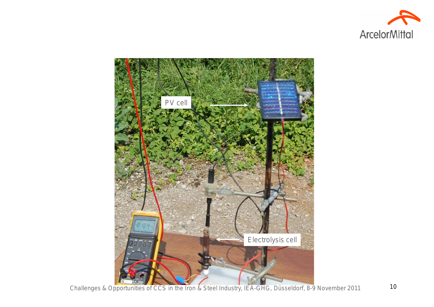